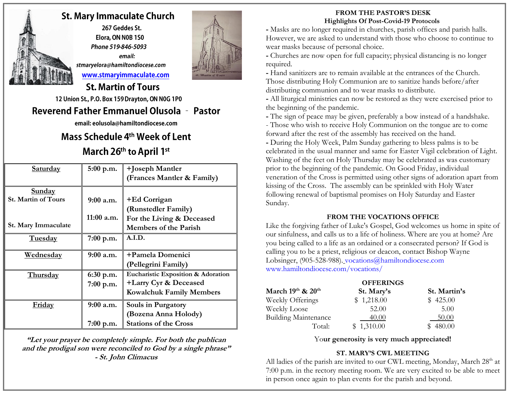

## **St. Mary Immaculate Church**

267 Geddes St. Elora, ON N0B 1S0 Phone 519-846-5093 email: stmaryelora@hamiltondiocese.com www.stmaryimmaculate.com



## **St. Martin of Tours**

12 Union St., P.O. Box 159 Drayton, ON N0G 1P0

## **Reverend Father Emmanuel Olusola - Pastor**

email: eolusola@hamiltondiocese.com

# Mass Schedule 4<sup>th</sup> Week of Lent March 26th to April 1st

| Saturday                   | $5:00$ p.m. | +Joseph Mantler                    |
|----------------------------|-------------|------------------------------------|
|                            |             | (Frances Mantler & Family)         |
| <b>Sunday</b>              |             |                                    |
| <b>St. Martin of Tours</b> | $9:00$ a.m. | +Ed Corrigan                       |
|                            |             | (Runstedler Family)                |
|                            | 11:00 a.m.  | For the Living & Deceased          |
| St. Mary Immaculate        |             | <b>Members of the Parish</b>       |
| <b>Tuesday</b>             | 7:00 p.m.   | A.I.D.                             |
|                            |             |                                    |
| <u>Wednesday</u>           | $9:00$ a.m. | +Pamela Domenici                   |
|                            |             | (Pellegrini Family)                |
| <b>Thursday</b>            | $6:30$ p.m. | Eucharistic Exposition & Adoration |
|                            | $7:00$ p.m. | +Larry Cyr & Deceased              |
|                            |             | <b>Kowalchuk Family Members</b>    |
| Friday                     | $9:00$ a.m. | Souls in Purgatory                 |
|                            |             | (Bozena Anna Holody)               |
|                            | 7:00 p.m.   | <b>Stations of the Cross</b>       |

**"Let your prayer be completely simple. For both the publican and the prodigal son were reconciled to God by a single phrase" - St. John Climacus**

### **FROM THE PASTOR'S DESK Highlights Of Post-Covid-19 Protocols**

**-** Masks are no longer required in churches, parish offices and parish halls. However, we are asked to understand with those who choose to continue to wear masks because of personal choice.

**-** Churches are now open for full capacity; physical distancing is no longer required.

**-** Hand sanitizers are to remain available at the entrances of the Church. Those distributing Holy Communion are to sanitize hands before/after distributing communion and to wear masks to distribute.

**-** All liturgical ministries can now be restored as they were exercised prior to the beginning of the pandemic.

**-** The sign of peace may be given, preferably a bow instead of a handshake. - Those who wish to receive Holy Communion on the tongue are to come forward after the rest of the assembly has received on the hand.

**-** During the Holy Week, Palm Sunday gathering to bless palms is to be celebrated in the usual manner and same for Easter Vigil celebration of Light. Washing of the feet on Holy Thursday may be celebrated as was customary prior to the beginning of the pandemic. On Good Friday, individual veneration of the Cross is permitted using other signs of adoration apart from kissing of the Cross. The assembly can be sprinkled with Holy Water following renewal of baptismal promises on Holy Saturday and Easter Sunday.

### **FROM THE VOCATIONS OFFICE**

Like the forgiving father of Luke's Gospel, God welcomes us home in spite of our sinfulness, and calls us to a life of holiness. Where are you at home? Are you being called to a life as an ordained or a consecrated person? If God is calling you to be a priest, religious or deacon, contact Bishop Wayne Lobsinger, (905-528-988). [vocations@hamiltondiocese.com](mailto:vocations@hamiltondiocese.com) [www.hamiltondiocese.com/vocations/](http://www.hamiltondiocese.com/vocations/)

|                             | <b>OFFERINGS</b> |              |
|-----------------------------|------------------|--------------|
| March $19th$ & $20th$       | St. Mary's       | St. Martin's |
| Weekly Offerings            | \$1,218.00       | \$425.00     |
| Weekly Loose                | 52.00            | 5.00         |
| <b>Building Maintenance</b> | 40.00            | 50.00        |
| Total:                      | \$1,310.00       | 480.00       |

Yo**ur generosity is very much appreciated!**

## **ST. MARY'S CWL MEETING**

All ladies of the parish are invited to our CWL meeting, Monday, March 28<sup>th</sup> at 7:00 p.m. in the rectory meeting room. We are very excited to be able to meet in person once again to plan events for the parish and beyond.